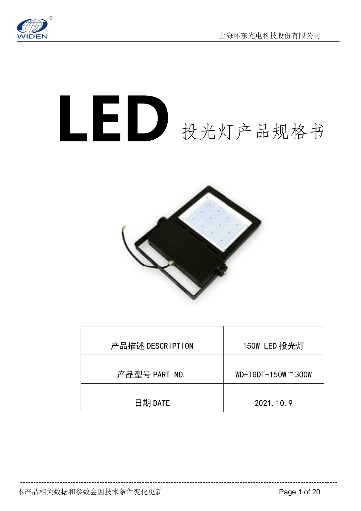

# 投光灯产品规格书 **LED**



| 产品描述 DESCRIPTION | 150W LED 投光灯                |
|------------------|-----------------------------|
|                  |                             |
| 产品型号 PART NO.    | $WD-TGDT-150W \approx 300W$ |
| 日期 DATE          | 2021.10.9                   |

**------------------------------------------------------------------------------------------------------------------------**

本产品相关数据和参数会因技术条件变化更新 Page 1 of 20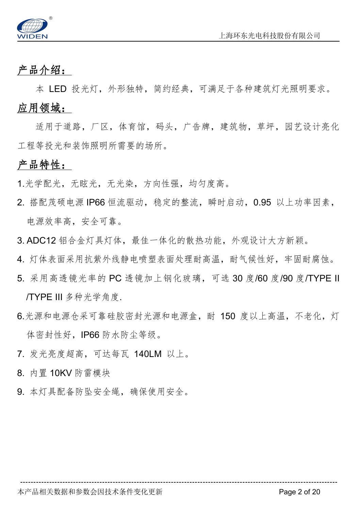

#### 产品介绍:

本 LED 投光灯,外形独特,简约经典,可满足于各种建筑灯光照明要求。 应用领域:

适用于道路,厂区,体育馆,码头,广告牌,建筑物,草坪,园艺设计亮化 工程等投光和装饰照明所需要的场所。

#### 产品特性:

1.光学配光,无眩光,无光染,方向性强,均匀度高。

- 2. 搭配茂硕电源 IP66 恒流驱动,稳定的整流,瞬时启动,0.95 以上功率因素, 电源效率高,安全可靠。
- 3. ADC12 铝合金灯具灯体, 最佳一体化的散热功能, 外观设计大方新颖。
- 4. 灯体表面采用抗紫外线静电喷塑表面处理耐高温, 耐气候性好,牢固耐腐蚀。
- 5. 采用高透镜光率的 PC 透镜加上钢化玻璃, 可选 30 度/60 度/90 度/TYPE Ⅱ

/TYPE III 多种光学角度.

6.光源和电源仓采可靠硅胶密封光源和电源盒,耐 150 度以上高温,不老化,灯 体密封性好, IP66 防水防尘等级。

**------------------------------------------------------------------------------------------------------------------------**

- 7. 发光亮度超高,可达每瓦 140LM 以上。
- 8. 内置 10KV 防雷模块
- 9. 本灯具配备防坠安全绳,确保使用安全。

本产品相关数据和参数会因技术条件变化更新 Particle Discover 20 Deage 2 of 20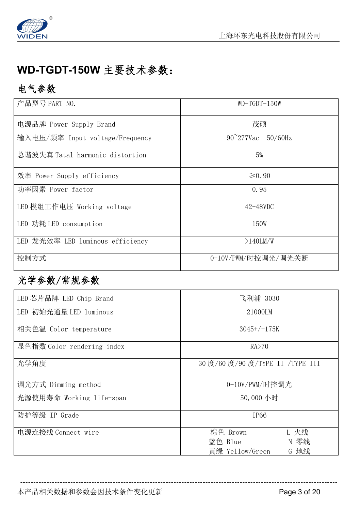

# **WD-TGDT-150W** 主要技术参数:

#### 电气参数

| 产品型号 PART NO.                    | $WD-TGDT-150W$                 |  |
|----------------------------------|--------------------------------|--|
| 电源品牌 Power Supply Brand          | 茂硕                             |  |
| 输入电压/频率 Input voltage/Frequency  | $90^{\circ}277$ Vac $50/60$ Hz |  |
| 总谐波失真 Tatal harmonic distortion  | 5%                             |  |
| 效率 Power Supply efficiency       | $\geq 0.90$                    |  |
| 功率因素 Power factor                | 0.95                           |  |
| LED 模组工作电压 Working voltage       | $42 - 48$ VDC                  |  |
| LED 功耗 LED consumption           | 150W                           |  |
| LED 发光效率 LED luminous efficiency | >140LM/W                       |  |
| 控制方式                             | 0-10V/PWM/时控调光/调光关断            |  |

#### 光学参数/常规参数

| LED 芯片品牌 LED Chip Brand    | 飞利浦 3030                         |  |
|----------------------------|----------------------------------|--|
| LED 初始光通量 LED luminous     | 21000LM                          |  |
| 相关色温 Color temperature     | $3045+/-175K$                    |  |
| 显色指数 Color rendering index | RA>70                            |  |
| 光学角度                       | 30 度/60 度/90 度/TYPE II /TYPE III |  |
| 调光方式 Dimming method        | 0-10V/PWM/时控调光                   |  |
| 光源使用寿命 Working life-span   | 50,000 小时                        |  |
| 防护等级 IP Grade              | IP66                             |  |
| 电源连接线 Connect wire         | L 火线<br>棕色 Brown                 |  |
|                            | N 零线<br>蓝色 Blue                  |  |
|                            | G 地线<br>黄绿 Yellow/Green          |  |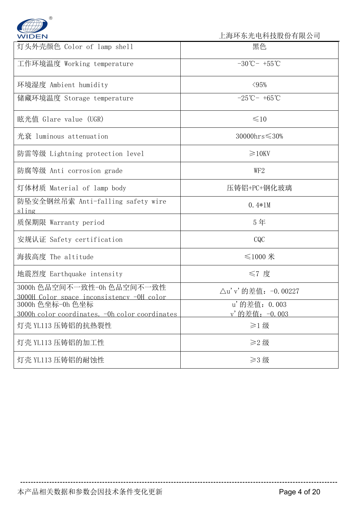

| 灯头外壳颜色 Color of lamp shell                                              | 黑色                                 |
|-------------------------------------------------------------------------|------------------------------------|
| 工作环境温度 Working temperature                                              | $-30^{\circ}$ C - $+55^{\circ}$ C  |
| 环境湿度 Ambient humidity                                                   | $\langle 95\%$                     |
| 储藏环境温度 Storage temperature                                              | $-25^{\circ}$ C - +65 $^{\circ}$ C |
| 眩光值 Glare value (UGR)                                                   | $\leq 10$                          |
| 光衰 luminous attenuation                                                 | $30000 \text{hrs} \leqslant 30\%$  |
| 防雷等级 Lightning protection level                                         | $\geq 10$ KV                       |
| 防腐等级 Anti corrosion grade                                               | WF <sub>2</sub>                    |
| 灯体材质 Material of lamp body                                              | 压铸铝+PC+钢化玻璃                        |
| 防坠安全钢丝吊索 Anti-falling safety wire<br>sling                              | $0.4*1M$                           |
| 质保期限 Warranty period                                                    | 5年                                 |
| 安规认证 Safety certification                                               | CQC                                |
| 海拔高度 The altitude                                                       | ≤1000 $#$                          |
| 地震烈度 Earthquake intensity                                               | ≤7 度                               |
| 3000h 色品空间不一致性-0h 色品空间不一致性<br>3000H Color space inconsistency -OH color | △u' v' 的差值: -0.00227               |
| 3000h 色坐标-0h 色坐标                                                        | u'的差值: 0.003                       |
| 3000h color coordinates. - Oh color coordinates                         | v'的差值: -0.003                      |
| 灯壳 YL113 压铸铝的抗热裂性                                                       | ≥1级                                |
| 灯壳 YL113 压铸铝的加工性                                                        | ≥2级                                |
| 灯壳 YL113 压铸铝的耐蚀性                                                        | $\geq$ 3 级                         |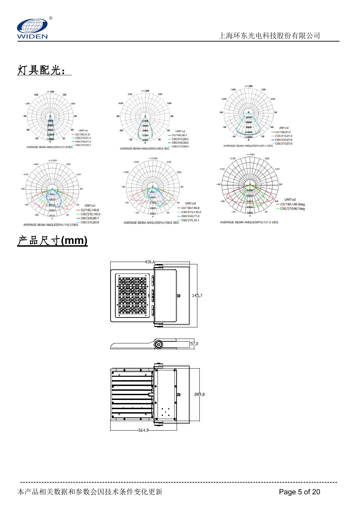

# 灯具配光:











AVERAGE BEAM ANGLE(50%):121.5 DEG

436,6  $345,7$ 



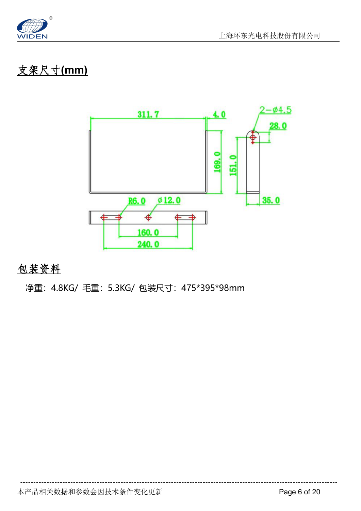

# 支架尺寸**(mm)**



**------------------------------------------------------------------------------------------------------------------------**

#### 包装资料

净重:4.8KG/ 毛重:5.3KG/ 包装尺寸:475\*395\*98mm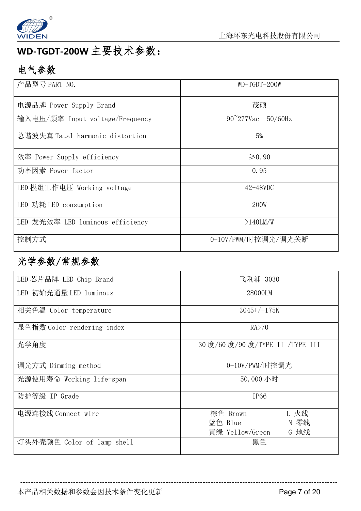

#### **WD-TGDT-200W** 主要技术参数:

#### 电气参数

| 产品型号 PART NO.                    | WD-TGDT-200W                   |  |
|----------------------------------|--------------------------------|--|
| 电源品牌 Power Supply Brand          | 茂硕                             |  |
| 输入电压/频率 Input voltage/Frequency  | $90^{\circ}277$ Vac $50/60$ Hz |  |
| 总谐波失真 Tatal harmonic distortion  | 5%                             |  |
| 效率 Power Supply efficiency       | $\geq 0.90$                    |  |
| 功率因素 Power factor                | 0.95                           |  |
| LED 模组工作电压 Working voltage       | $42 - 48$ VDC                  |  |
| LED 功耗 LED consumption           | <b>200W</b>                    |  |
| LED 发光效率 LED luminous efficiency | >140LM/W                       |  |
| 控制方式                             | 0-10V/PWM/时控调光/调光关断            |  |

#### 光学参数/常规参数

| LED 芯片品牌 LED Chip Brand    | 飞利浦 3030                                                       |
|----------------------------|----------------------------------------------------------------|
| LED 初始光通量 LED luminous     | 28000LM                                                        |
| 相关色温 Color temperature     | $3045+/-175K$                                                  |
| 显色指数 Color rendering index | RA>70                                                          |
| 光学角度                       | 30 度/60 度/90 度/TYPE II /TYPE III                               |
| 调光方式 Dimming method        | 0-10V/PWM/时控调光                                                 |
| 光源使用寿命 Working life-span   | 50,000 小时                                                      |
| 防护等级 IP Grade              | <b>IP66</b>                                                    |
| 电源连接线 Connect wire         | L 火线<br>棕色 Brown<br>N 零线<br>蓝色 Blue<br>黄绿 Yellow/Green<br>G 地线 |
| 灯头外壳颜色 Color of lamp shell | 黑色                                                             |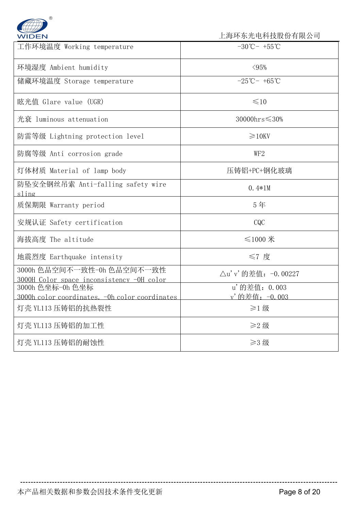

| 工作环境温度 Working temperature                                              | $-30^{\circ}$ C - $+55^{\circ}$ C |
|-------------------------------------------------------------------------|-----------------------------------|
| 环境湿度 Ambient humidity                                                   | < 95%                             |
| 储藏环境温度 Storage temperature                                              | $-25^{\circ}$ C- +65 $^{\circ}$ C |
| 眩光值 Glare value (UGR)                                                   | $\leq 10$                         |
| 光衰 luminous attenuation                                                 | 30000hrs≤30%                      |
| 防雷等级 Lightning protection level                                         | $\geq 10$ KV                      |
| 防腐等级 Anti corrosion grade                                               | WF <sub>2</sub>                   |
| 灯体材质 Material of lamp body                                              | 压铸铝+PC+钢化玻璃                       |
| 防坠安全钢丝吊索 Anti-falling safety wire<br>sling                              | $0.4*1M$                          |
| 质保期限 Warranty period                                                    | 5年                                |
| 安规认证 Safety certification                                               | CQC                               |
| 海拔高度 The altitude                                                       | ≤1000 $#$                         |
| 地震烈度 Earthquake intensity                                               | ≤7 度                              |
| 3000h 色品空间不一致性-0h 色品空间不一致性<br>3000H Color space inconsistency -OH color | △u' v' 的差值: -0.00227              |
| 3000h 色坐标-0h 色坐标                                                        | u'的差值: 0.003                      |
| 3000h color coordinates. - Oh color coordinates                         | v'的差值: - 0.003                    |
| 灯壳 YL113 压铸铝的抗热裂性                                                       | $\geq$ 1 级                        |
| 灯壳 YL113 压铸铝的加工性                                                        | ≥2级                               |
| 灯壳 YL113 压铸铝的耐蚀性                                                        | ≥3级                               |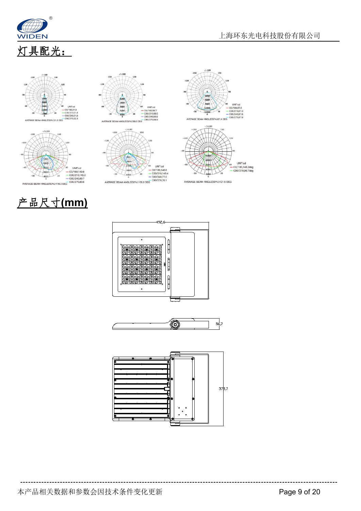

# 灯具配光:









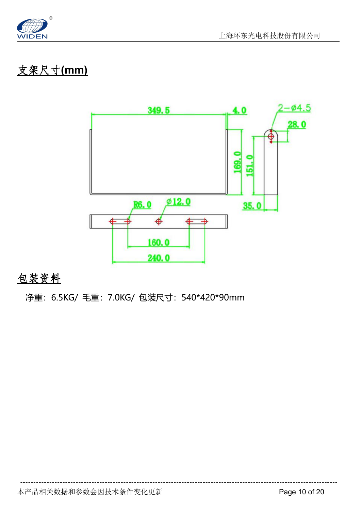

# 支架尺寸**(mm)**



**------------------------------------------------------------------------------------------------------------------------**

#### 包装资料

净重:6.5KG/ 毛重:7.0KG/ 包装尺寸:540\*420\*90mm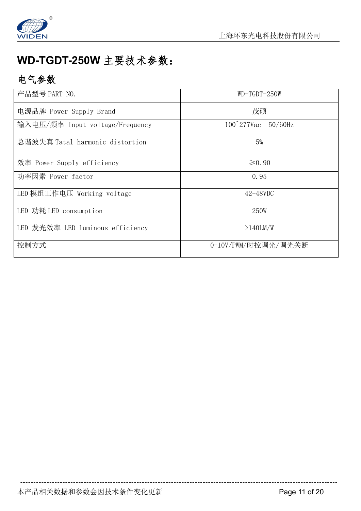

#### **WD-TGDT-250W** 主要技术参数:

#### 电气参数

| 产品型号 PART NO.                    | WD-TGDT-250W                       |
|----------------------------------|------------------------------------|
| 电源品牌 Power Supply Brand          | 茂硕                                 |
| 输入电压/频率 Input voltage/Frequency  | $100^{\circ}277$ Vac<br>$50/60$ Hz |
| 总谐波失真 Tatal harmonic distortion  | 5%                                 |
| 效率 Power Supply efficiency       | $\geq 0.90$                        |
| 功率因素 Power factor                | 0.95                               |
| LED 模组工作电压 Working voltage       | $42 - 48$ VDC                      |
| LED 功耗 LED consumption           | 250W                               |
| LED 发光效率 LED luminous efficiency | $>140$ LM/W                        |
| 控制方式                             | 0-10V/PWM/时控调光/调光关断                |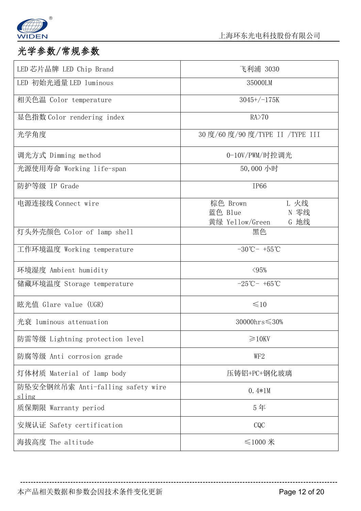

#### 光学参数/常规参数

| LED 芯片品牌 LED Chip Brand                    | 飞利浦 3030                                                       |
|--------------------------------------------|----------------------------------------------------------------|
| LED 初始光通量 LED 1uminous                     | 35000LM                                                        |
| 相关色温 Color temperature                     | $3045+/-175K$                                                  |
| 显色指数 Color rendering index                 | RA > 70                                                        |
| 光学角度                                       | 30 度/60 度/90 度/TYPE II /TYPE III                               |
| 调光方式 Dimming method                        | 0-10V/PWM/时控调光                                                 |
| 光源使用寿命 Working life-span                   | 50,000 小时                                                      |
| 防护等级 IP Grade                              | <b>IP66</b>                                                    |
| 电源连接线 Connect wire                         | 棕色 Brown<br>L 火线<br>蓝色 Blue<br>N 零线<br>黄绿 Yellow/Green<br>G 地线 |
| 灯头外壳颜色 Color of lamp shell                 | 黑色                                                             |
| 工作环境温度 Working temperature                 | $-30^{\circ}$ C - $+55^{\circ}$ C                              |
| 环境湿度 Ambient humidity                      | $\langle 95\%$                                                 |
| 储藏环境温度 Storage temperature                 | $-25^{\circ}\text{C} - +65^{\circ}\text{C}$                    |
| 眩光值 Glare value (UGR)                      | $\leq 10$                                                      |
| 光衰 luminous attenuation                    | $30000 \text{hrs} \leqslant 30\%$                              |
| 防雷等级 Lightning protection level            | $\geq 10$ KV                                                   |
| 防腐等级 Anti corrosion grade                  | WF2                                                            |
| 灯体材质 Material of lamp body                 | 压铸铝+PC+钢化玻璃                                                    |
| 防坠安全钢丝吊索 Anti-falling safety wire<br>sling | $0.4*1M$                                                       |
| 质保期限 Warranty period                       | 5年                                                             |
| 安规认证 Safety certification                  | CQC                                                            |
| 海拔高度 The altitude                          | $≤1000$ <del><math>*</math></del>                              |
|                                            |                                                                |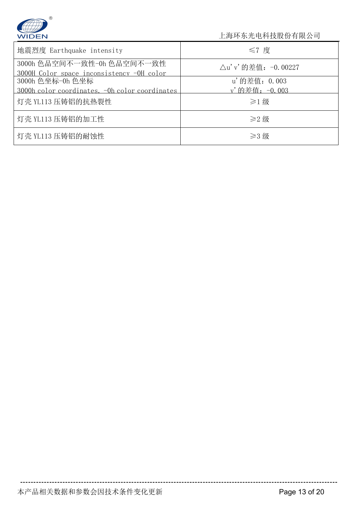

| 地震烈度 Earthquake intensity                                               | $\leq 7$ 度                    |  |
|-------------------------------------------------------------------------|-------------------------------|--|
| 3000h 色品空间不一致性-0h 色品空间不一致性<br>3000H Color space inconsistency -OH color | △u' v' 的差值: -0.00227          |  |
| 3000h 色坐标-0h 色坐标<br>3000h color coordinates. - Oh color coordinates     | u'的差值: 0.003<br>v'的差值: -0.003 |  |
| 灯壳 YL113 压铸铝的抗热裂性                                                       | $\geq$ 1 级                    |  |
| 灯壳 YL113 压铸铝的加工性                                                        | $\geq$ 2 级                    |  |
| 灯壳 YL113 压铸铝的耐蚀性                                                        | ≥3级                           |  |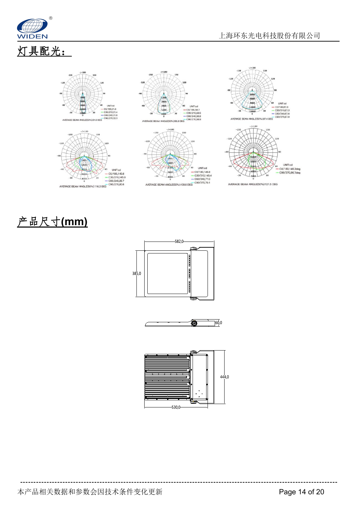



产品尺寸**(mm)**





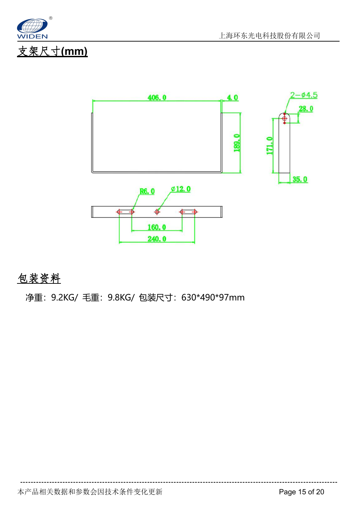



**------------------------------------------------------------------------------------------------------------------------**

#### 包装资料

净重:9.2KG/ 毛重:9.8KG/ 包装尺寸:630\*490\*97mm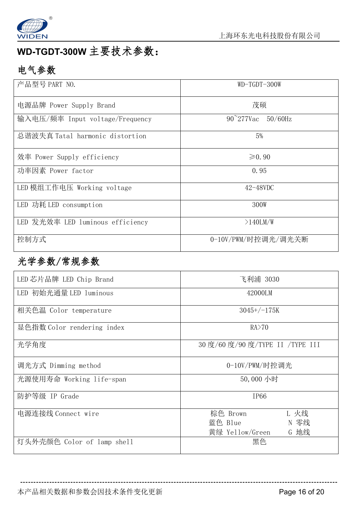

#### **WD-TGDT-300W** 主要技术参数:

### 电气参数

| 产品型号 PART NO.                    | WD-TGDT-300W                   |  |
|----------------------------------|--------------------------------|--|
| 电源品牌 Power Supply Brand          | 茂硕                             |  |
| 输入电压/频率 Input voltage/Frequency  | $90^{\circ}277$ Vac $50/60$ Hz |  |
| 总谐波失真 Tatal harmonic distortion  | 5%                             |  |
| 效率 Power Supply efficiency       | $\geq 0.90$                    |  |
| 功率因素 Power factor                | 0.95                           |  |
| LED 模组工作电压 Working voltage       | $42 - 48$ VDC                  |  |
| LED 功耗 LED consumption           | 300W                           |  |
| LED 发光效率 LED luminous efficiency | $>140$ LM/W                    |  |
| 控制方式                             | 0-10V/PWM/时控调光/调光关断            |  |

#### 光学参数/常规参数

| LED 芯片品牌 LED Chip Brand    | 飞利浦 3030                                                       |
|----------------------------|----------------------------------------------------------------|
| LED 初始光通量 LED luminous     | 42000LM                                                        |
| 相关色温 Color temperature     | $3045+/-175K$                                                  |
| 显色指数 Color rendering index | RA>70                                                          |
| 光学角度                       | 30 度/60 度/90 度/TYPE II /TYPE III                               |
| 调光方式 Dimming method        | 0-10V/PWM/时控调光                                                 |
| 光源使用寿命 Working life-span   | 50,000 小时                                                      |
| 防护等级 IP Grade              | IP66                                                           |
| 电源连接线 Connect wire         | L 火线<br>棕色 Brown<br>N 零线<br>蓝色 Blue<br>G 地线<br>黄绿 Yellow/Green |
| 灯头外壳颜色 Color of lamp shell | 黑色                                                             |
|                            |                                                                |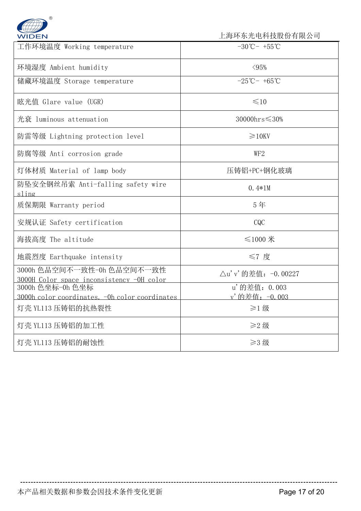

| 工作环境温度 Working temperature                                              | $-30^{\circ}$ C - $+55^{\circ}$ C |
|-------------------------------------------------------------------------|-----------------------------------|
| 环境湿度 Ambient humidity                                                   | < 95%                             |
| 储藏环境温度 Storage temperature                                              | $-25^{\circ}$ C- +65 $^{\circ}$ C |
| 眩光值 Glare value (UGR)                                                   | $\leq 10$                         |
| 光衰 luminous attenuation                                                 | 30000hrs≤30%                      |
| 防雷等级 Lightning protection level                                         | $\geq 10$ KV                      |
| 防腐等级 Anti corrosion grade                                               | WF <sub>2</sub>                   |
| 灯体材质 Material of lamp body                                              | 压铸铝+PC+钢化玻璃                       |
| 防坠安全钢丝吊索 Anti-falling safety wire<br>sling                              | $0.4*1M$                          |
| 质保期限 Warranty period                                                    | 5年                                |
| 安规认证 Safety certification                                               | CQC                               |
| 海拔高度 The altitude                                                       | ≤1000 $#$                         |
| 地震烈度 Earthquake intensity                                               | ≤7 度                              |
| 3000h 色品空间不一致性-0h 色品空间不一致性<br>3000H Color space inconsistency -OH color | △u' v' 的差值: -0.00227              |
| 3000h 色坐标-0h 色坐标                                                        | u'的差值: 0.003                      |
| 3000h color coordinates. - Oh color coordinates                         | v'的差值: - 0.003                    |
| 灯壳 YL113 压铸铝的抗热裂性                                                       | $\geq$ 1 级                        |
| 灯壳 YL113 压铸铝的加工性                                                        | ≥2级                               |
| 灯壳 YL113 压铸铝的耐蚀性                                                        | ≥3级                               |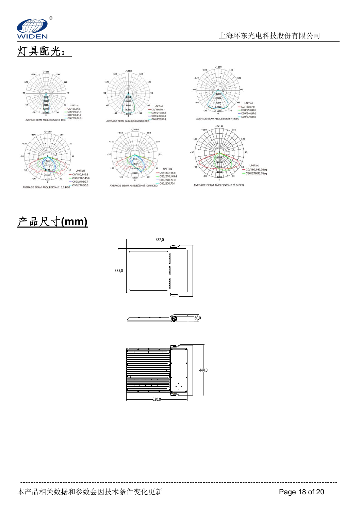

# 灯具配光:









AVERAGE BEAM ANGLE(50%):121.5 DEG







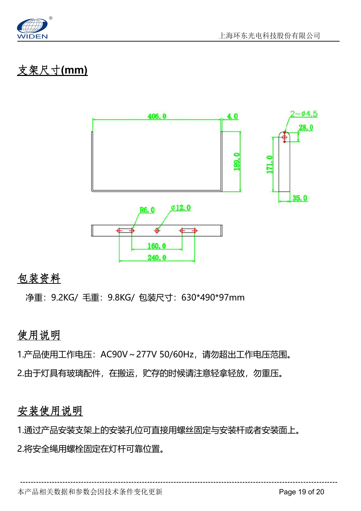

# 支架尺寸**(mm)**



#### 包装资料

净重:9.2KG/ 毛重:9.8KG/ 包装尺寸:630\*490\*97mm

使用说明

1.产品使用工作电压: AC90V~277V 50/60Hz, 请勿超出工作电压范围。

2.由于灯具有玻璃配件,在搬运,贮存的时候请注意轻拿轻放,勿重压。

#### 安装使用说明

1.通过产品安装支架上的安装孔位可直接用螺丝固定与安装杆或者安装面上。 2.将安全绳用螺栓固定在灯杆可靠位置。